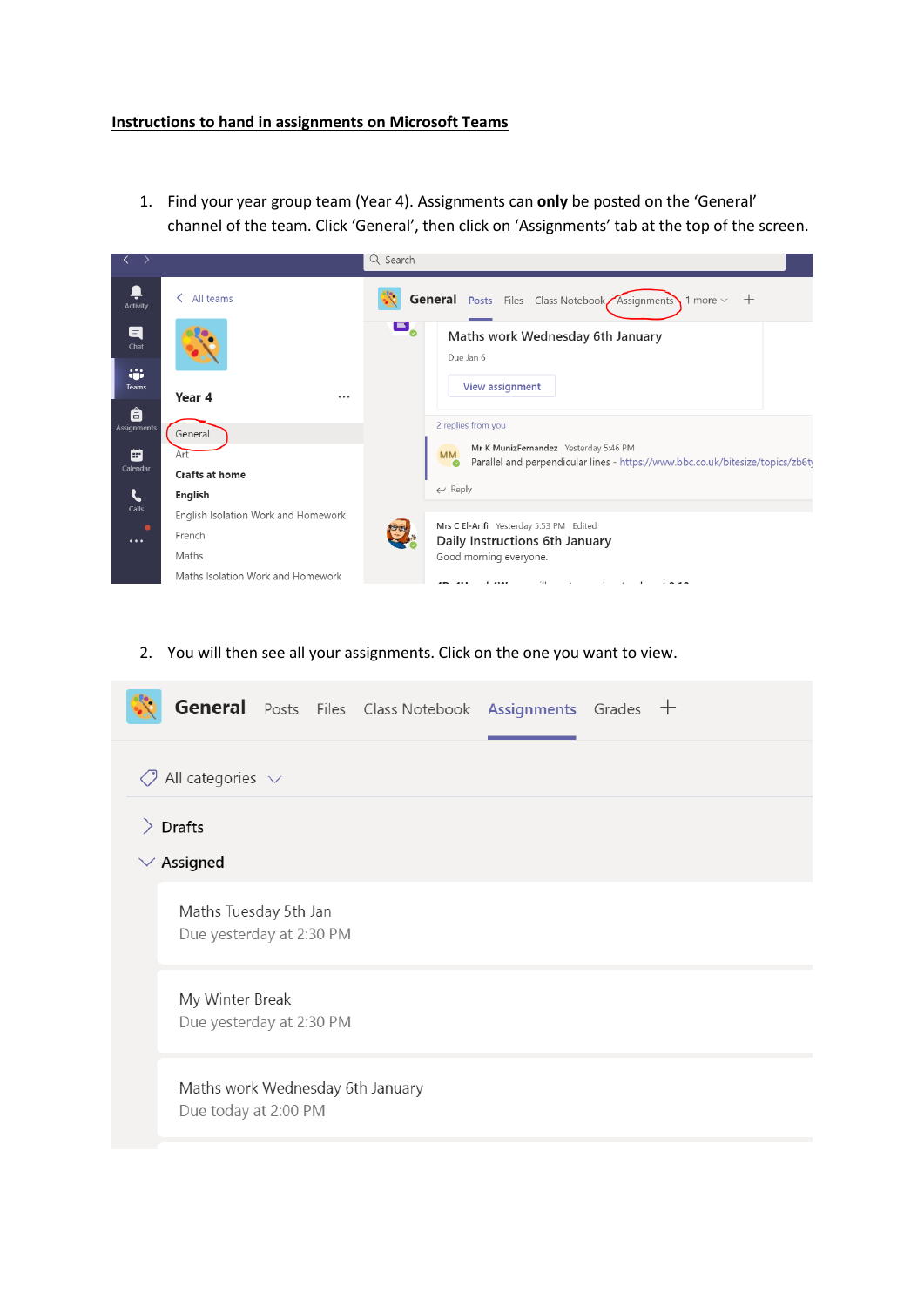1. Find your year group team (Year 4). Assignments can **only** be posted on the 'General' channel of the team. Click 'General', then click on 'Assignments' tab at the top of the screen.



2. You will then see all your assignments. Click on the one you want to view.

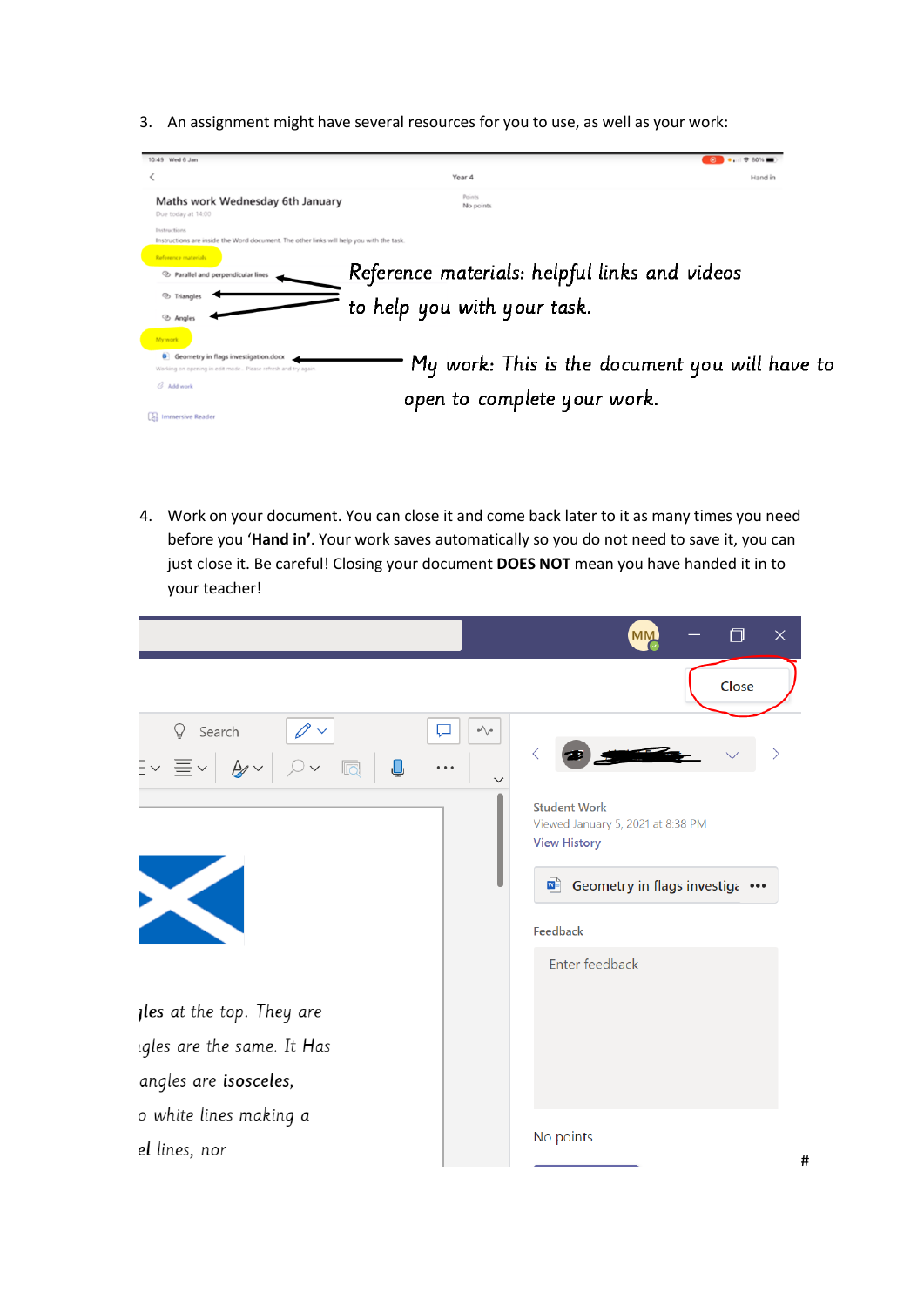3. An assignment might have several resources for you to use, as well as your work:



4. Work on your document. You can close it and come back later to it as many times you need before you '**Hand in'**. Your work saves automatically so you do not need to save it, you can just close it. Be careful! Closing your document **DOES NOT** mean you have handed it in to your teacher!

|                                                             |            | $\times$<br><b>MM</b>                                                                                                   |
|-------------------------------------------------------------|------------|-------------------------------------------------------------------------------------------------------------------------|
|                                                             |            | Close                                                                                                                   |
| $\Omega$<br>Search<br>$\exists$ $\vee$ $\equiv$ $\vee$<br>靣 | $\sqrt{ }$ | <b>Student Work</b>                                                                                                     |
|                                                             |            | Viewed January 5, 2021 at 8:38 PM<br><b>View History</b><br>Geometry in flags investiga •••<br>$\mathbf{w}$<br>Feedback |
|                                                             |            | Enter feedback                                                                                                          |
| <b>Iles</b> at the top. They are                            |            |                                                                                                                         |
| gles are the same. It Has                                   |            |                                                                                                                         |
| angles are isosceles,                                       |            |                                                                                                                         |
| o white lines making a                                      |            |                                                                                                                         |
| el lines, nor                                               |            | No points                                                                                                               |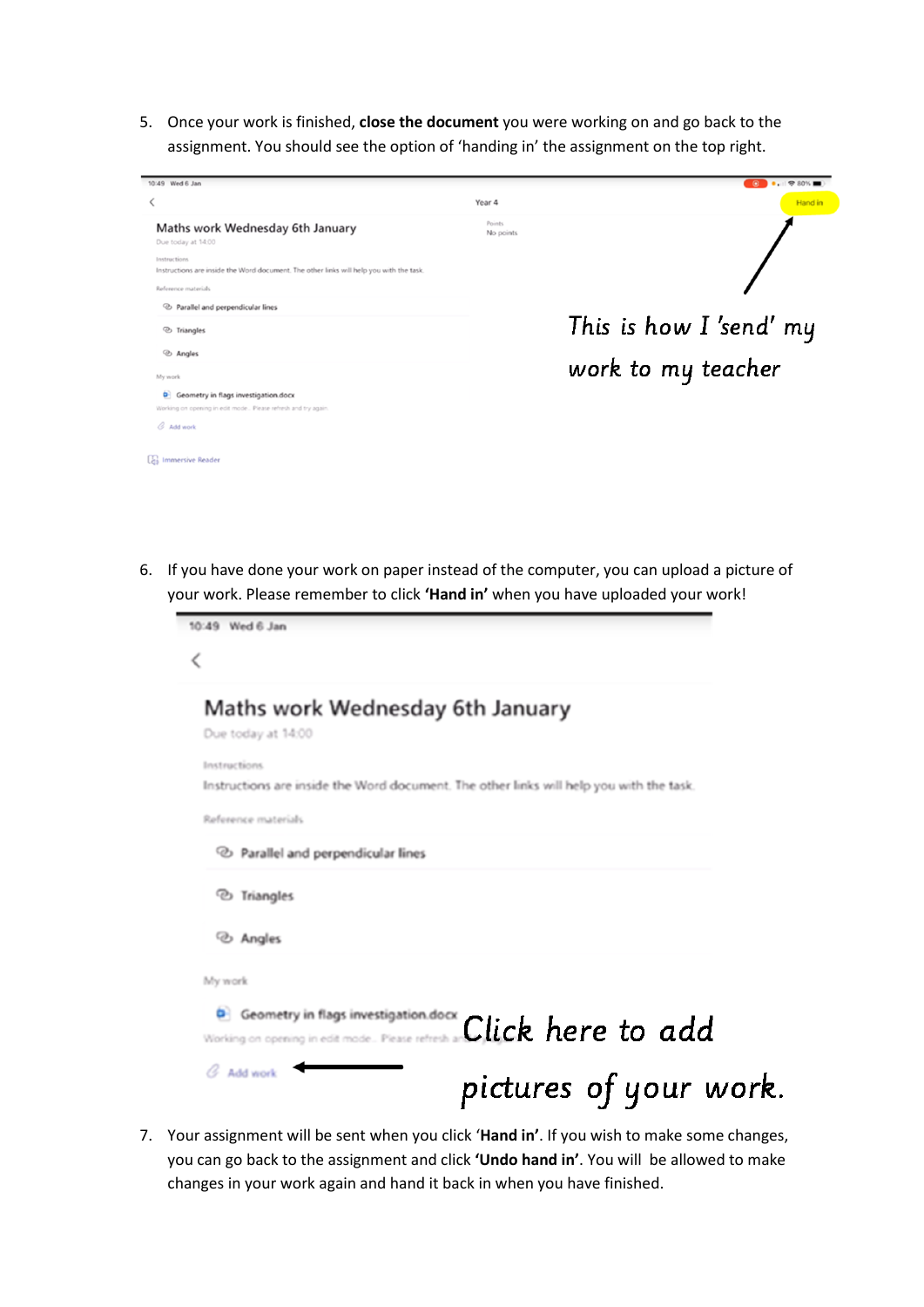5. Once your work is finished, **close the document** you were working on and go back to the assignment. You should see the option of 'handing in' the assignment on the top right.

| 10:49 Wed 6 Jan                                                                                            |                     | $\circ$ $\bullet$ $\bullet$ $\circ$ $\circ$ $\circ$ $\bullet$ $\bullet$ |
|------------------------------------------------------------------------------------------------------------|---------------------|-------------------------------------------------------------------------|
|                                                                                                            | Year 4              | <b>Hand</b> in                                                          |
| Maths work Wednesday 6th January<br>Due today at 14:00                                                     | Points<br>No points |                                                                         |
| Instructions<br>Instructions are inside the Word document. The other links will help you with the task.    |                     |                                                                         |
| Reference materials                                                                                        |                     |                                                                         |
| <sup>2</sup> Parallel and perpendicular lines                                                              |                     |                                                                         |
| <sup>2</sup> Triangles                                                                                     |                     | This is how $I$ 'send' my                                               |
| hangles                                                                                                    |                     |                                                                         |
| My work                                                                                                    |                     | work to my teacher                                                      |
| ۰<br>Geometry in flags investigation.docx<br>Working on opening in edit mode Please refresh and try again. |                     |                                                                         |
| $\alpha$ Add work                                                                                          |                     |                                                                         |
| <b>As Immersive Reader</b>                                                                                 |                     |                                                                         |

6. If you have done your work on paper instead of the computer, you can upload a picture of your work. Please remember to click **'Hand in'** when you have uploaded your work!

| 10:49 Wed 6 Jan                                                                         |                        |
|-----------------------------------------------------------------------------------------|------------------------|
| K                                                                                       |                        |
| Maths work Wednesday 6th January                                                        |                        |
| Due today at 14:00                                                                      |                        |
| Instructions                                                                            |                        |
| Instructions are inside the Word document. The other links will help you with the task. |                        |
| Reference materials                                                                     |                        |
| <sup>2</sup> Parallel and perpendicular lines                                           |                        |
| hangles                                                                                 |                        |
| ⊙ Angles                                                                                |                        |
| My work                                                                                 |                        |
| Geometry in flags investigation.docx<br>۰                                               |                        |
| Working on opening in edit mode Please refresh at                                       | Click here to add      |
| G Add work                                                                              | pictures of your work. |
|                                                                                         |                        |

7. Your assignment will be sent when you click '**Hand in'**. If you wish to make some changes, you can go back to the assignment and click **'Undo hand in'**. You will be allowed to make changes in your work again and hand it back in when you have finished.